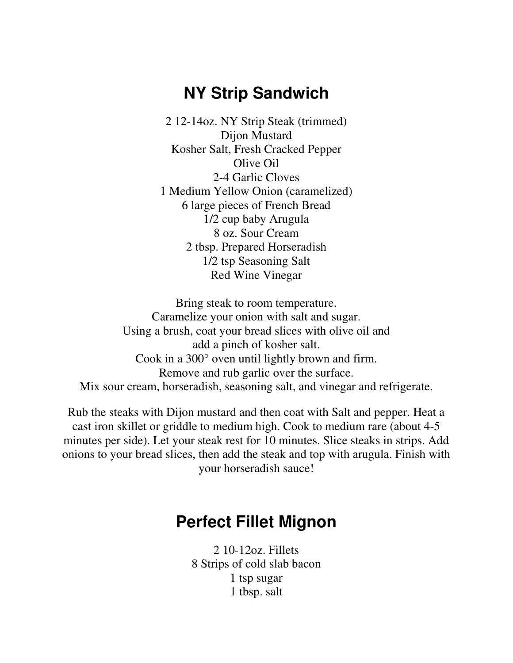## **NY Strip Sandwich**

2 12-14oz. NY Strip Steak (trimmed) Dijon Mustard Kosher Salt, Fresh Cracked Pepper Olive Oil 2-4 Garlic Cloves 1 Medium Yellow Onion (caramelized) 6 large pieces of French Bread 1/2 cup baby Arugula 8 oz. Sour Cream 2 tbsp. Prepared Horseradish 1/2 tsp Seasoning Salt Red Wine Vinegar

Bring steak to room temperature. Caramelize your onion with salt and sugar. Using a brush, coat your bread slices with olive oil and add a pinch of kosher salt. Cook in a 300° oven until lightly brown and firm. Remove and rub garlic over the surface. Mix sour cream, horseradish, seasoning salt, and vinegar and refrigerate.

Rub the steaks with Dijon mustard and then coat with Salt and pepper. Heat a cast iron skillet or griddle to medium high. Cook to medium rare (about 4-5 minutes per side). Let your steak rest for 10 minutes. Slice steaks in strips. Add onions to your bread slices, then add the steak and top with arugula. Finish with your horseradish sauce!

## **Perfect Fillet Mignon**

2 10-12oz. Fillets 8 Strips of cold slab bacon 1 tsp sugar 1 tbsp. salt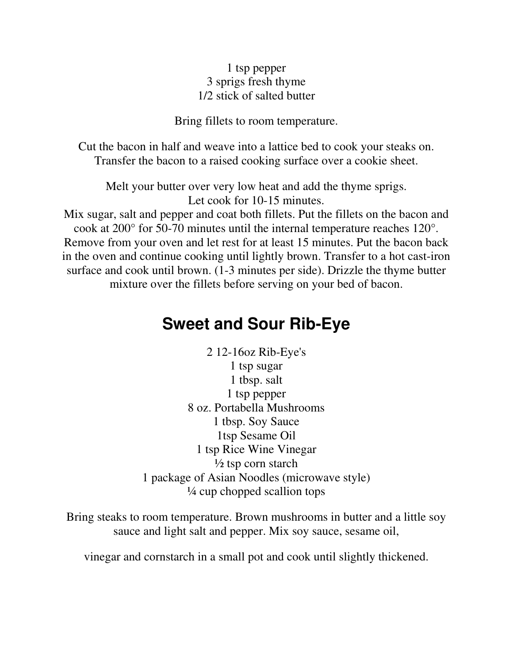## 1 tsp pepper 3 sprigs fresh thyme 1/2 stick of salted butter

Bring fillets to room temperature.

Cut the bacon in half and weave into a lattice bed to cook your steaks on. Transfer the bacon to a raised cooking surface over a cookie sheet.

Melt your butter over very low heat and add the thyme sprigs. Let cook for 10-15 minutes.

Mix sugar, salt and pepper and coat both fillets. Put the fillets on the bacon and cook at 200° for 50-70 minutes until the internal temperature reaches 120°. Remove from your oven and let rest for at least 15 minutes. Put the bacon back in the oven and continue cooking until lightly brown. Transfer to a hot cast-iron surface and cook until brown. (1-3 minutes per side). Drizzle the thyme butter mixture over the fillets before serving on your bed of bacon.

## **Sweet and Sour Rib-Eye**

2 12-16oz Rib-Eye's 1 tsp sugar 1 tbsp. salt 1 tsp pepper 8 oz. Portabella Mushrooms 1 tbsp. Soy Sauce 1tsp Sesame Oil 1 tsp Rice Wine Vinegar  $\frac{1}{2}$  tsp corn starch 1 package of Asian Noodles (microwave style) ¼ cup chopped scallion tops

Bring steaks to room temperature. Brown mushrooms in butter and a little soy sauce and light salt and pepper. Mix soy sauce, sesame oil,

vinegar and cornstarch in a small pot and cook until slightly thickened.